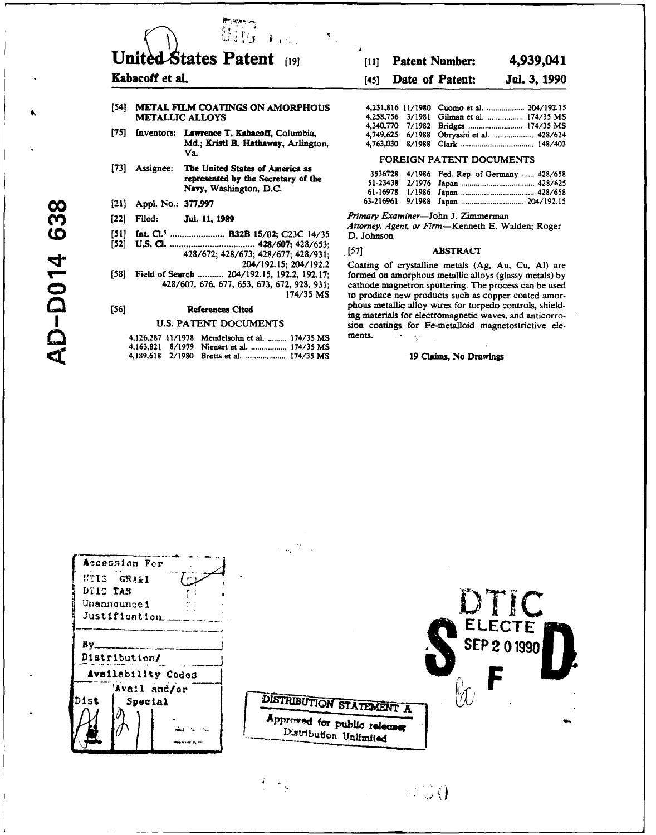## United States Patent [19] **Patent Number:** 4,939,041

### **[54] METAL FILM COATINGS ON AMORPHOUS METALLIC ALLOYS**

 $\mathbb{S}^*$  ,  $\mathbb{R}^*$ 

Farmer

- 4,340,770 **7/1982 Bridges................... 174/35 MS (75]** Inventors: Lawrence T. Kabacoff, Columbia, 4,749,625 **6/1988** Obryashi et al! **.............** 428/624 **Md.; Kristl B. Hathaway, Arlington,** Va.
- **[73]** Assignee: The United States of America as **3536728 4/1986** Fed. Rep. of **Germany.428/658** represented **by** the Secretary' of the **51-23438 2/1976 Japan..................42/5 Navy, Washington, D.C.** 61-16978 1/1986
- 
- 
- 
- **[52] U.S. C1 ......................... 428/607; 428/653;** 428/672; 428/673; 428/677; 428/931;<br>204/192.15; 204/192.2 Coating of crystalline metals (A
- 

|  | 4,126,287 11/1978 Mendelsohn et al.  174/35 MS | ments |
|--|------------------------------------------------|-------|
|  | 4,163,821 8/1979 Nienart et al.  174/35 MS     |       |
|  | 4,189,618 2/1980 Bretts et al.  174/35 MS      |       |

### **Kabacoff et al.** [45] **Date of Patent: Jul. 3, 1990**

|                                    | 1,231,816 11/1980 Cuomo et al.  204/192.15 |  |
|------------------------------------|--------------------------------------------|--|
|                                    | 1,258,756 3/1981 Gilman et al.  174/35 MS  |  |
|                                    |                                            |  |
|                                    | 1,749,625 6/1988 Obryashi et al.  428/624  |  |
| 1.763.030 8/1088 ጠ <sub>ብታ</sub> レ | 148/403                                    |  |

### FOREIGN **PATENT DOCUMENTS**

|  | 3536728 4/1986 Fed. Rep. of Germany  428/658 |
|--|----------------------------------------------|
|  |                                              |
|  |                                              |
|  |                                              |

00[21] **Appi.** No.: **377,99 63-216961 9/1988** Japan **.................** 204/192115 (22] Filed: **Jul. 11, 1989** *Prznwry Examiner-John J.* Zimmerman **cv,** *Attorney, Agent, or* Firm-Kenneth **E.** Walden; Roger *[51]* **Int. C.5................** B32B **15/02; C23C** 14/35 **D.** Johnson

204/192.15; 204/192.2 Coating of crystalline metals **(Ag,** Au, Cu, **Al)** are **(58]** Field of Search.......204/192.15, **192.2, 192.17;** formed on amorphous metallic alloys (glassy metals) **by** 428/607, **676, 677, 653, 673, 672, 928, 931;** cathode magnetron sputtering. The process can be used 174/35 **MS** to produce new products such as copper coated amor- [56] **References Cited phous metallic alloy wires for torpedo controls, shield**ing materials for electromagnetic waves, and anticorro-U.S. PATENT DOCUMENTS sion coatings for Fe-metalloid magnetostrictive ele-<br>
<sup>174/18</sup> Metalloid magnetostrictive ele- $\sim$   $\sim$  $\sim 100$ 

### 4,189,618 **2/1980** Bretts **et** al **.............. 174/35 MS 19** Claims, No Drawings

DTIC

 $\mathbb{R}^2 \cup \mathbb{Q}$ 



 $\mathcal{N}$  )

**AD-D014**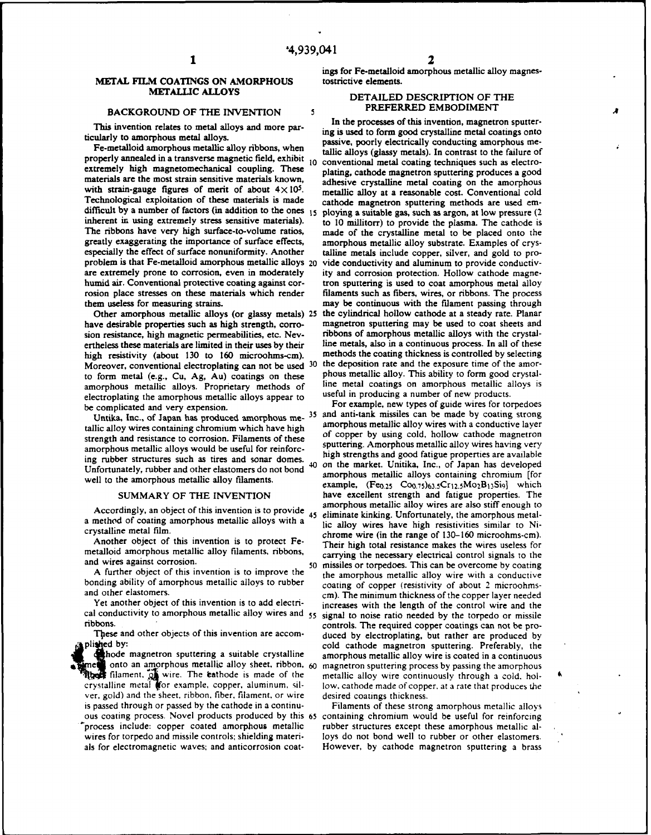### **METAL FILM COATINGS ON AMORPHOUS METALLIC ALLOYS** DETAILED DESCRIPTION OF THE

This invention relates to metal alloys and more particularly to amorphous metal alloys.

properly annealed in a transverse magnetic field, exhibit **10** conventional metal coating techniques such as electroextremely high magnetomechanical coupling. These plating, cathode magnetron sputtering produces a good materials are the most strain sensitive materials **known,** adhesive crystalline metal coating on the amorphous with strain-gauge figures of merit of about  $4 \times 10^5$ . **metallic alloy at a reasonable cost.** Conventional cold Technological exploitation of these materials is made cathode magnetron sputtering methods are used emdifficult **by** a number of factors (in addition to the ones **15** ploying a suitable gas, such as argon, at low pressure (2 inherent in using extremely stress sensitive materials). to **10** millitorr) to provide the plasma. The cathode is The ribbons have very high surface-to-volume ratios, made of the crystalline metal to be placed onto the greatly exaggerating the importance of surface effects, amorphous metallic alloy substrate. Examples of crysespecially the effect of surface nonuniformity. Another talline metals include copper, silver, and gold to pro-<br>problem is that Fe-metalloid amorphous metallic alloys 20 vide conductivity and aluminum to provide conductivare extremely prone to corrosion, even in moderately ity and corrosion protection. Hollow cathode magnehumid air. Conventional protective coating against cor-<br>
ron sputtering is used to coat amorphous metal alloy<br>
rosion place stresses on these materials which render<br>

filaments such as fibers, wires, or ribbons. The proces rosion place stresses on these materials which render them useless for measuring strains.

have desirable properties such as high strength, corro-<br>sion resistance, high magnetic permeabilities, etc. Nev-<br>ribbons of amorphous metallic alloys with the crystalsion resistance, high magnetic permeabilities, etc. Nevertheless these materials are limited in their uses by their line metals, also in a continuous process. In all of these high resistivity (about 130 to 160 microohms-cm) methods the coating thickness is controlled by select high resistivity (about 130 to 160 microohms-cm). methods the coating thickness is controlled by selecting<br>Moreover, conventional electroniating can not be used 30 the deposition rate and the exposure time of the amor-Moreover, conventional electroplating can not be used 30 the deposition rate and the exposure time of the amor-<br>to form metal (e.g. Cu. Ag. Au) coatings on these phous metallic alloy. This ability to form good crystalto form metal (e.g., Cu, Ag, Au) coatings on these amorphous metallic alloys. Proprietary methods of line metal coatings on amorphous metallic alloys is electronlating the amorphous metallic alloys appear to useful in producing a number of new products. electroplating the amorphous metallic alloys appear to useful in producing a number of new products.<br>be complicated and very expension. For example, new types of guide wires for torpedoes be complicated and very expension. For example, new types of guide wires for torpedoes

tallic alloy wires containing chromium which have high amorphous metallic alloy wires with a conductive layer Unfortunately, rubber and other elastomers do not bond well to the amorphous metallic alloy filaments.

a method of coating amorphous metallic alloys with a lice alloy wires have high resistivities similar to Ni-

bonding ability of amorphous metallic alloys to rubber coating of copper (resistivity of about 2 microohms-

cal conductivity to amorphous metallic alloy wires and **55** signal to noise ratio needed by the torpedo or missile

inet onto an amorphous metallic alloy sheet, ribbon, 60 **crystalline metal (for example, copper, aluminum, sil-** low, cathode made of copper, at a rate that produces the crystalline metal (for example, copper, aluminum, sil-<br>low, cathode made of copper, at a rate that produces ver, gold) and the sheet, ribbon, fiber. filament, or wire desired coatings thickness. is passed through or passed by the cathode in a continu- Filaments of these strong amorphous metallic alloys ous coating process. Novel products produced by this 65 containing chromium would be useful for reinforcing process include: copper coated amorphous metallic rubber structures except these amorphous metallic alwires for torpedo and missile controls; shielding materi- loys do not bond well to rubber or other elastomers. als for electromagnetic waves; and anticorrosion coat- However, by cathode magnetron sputtering a brass

ings for Fe-metalloid amorphous metallic alloy magnes-

# **BACKGROUND OF THE INVENTION** 5<br> **In the processes of this invention, magnetron sputter-**<br> **In the processes of this invention, magnetron sputter-**

A

thiclarl tion **rest metal alloys** ding is used to form good crystalline metal coatings onto **ticularly to** amorphous **metal alloys,** passive, poorly electrically conducting amorphous me-Fe-metalloid amorphous metallic alloy ribbons, when tallic alloys (glassy metals). In contrast to the failure of vide conductivity and aluminum to provide conductivmay be continuous with the filament passing through the cylindrical hollow cathode at a steady rate. Planar Other amorphous metallic alloys (or glassy metals) 25 the cylindrical hollow cathode at a steady rate. Planar we desirable properties such as high strength, corro-<br>magnetron sputtering may be used to coat sheets and

Untika, Inc., of Japan has produced amorphous me- **35** and anti-tank missiles can be made **by** coating strong tallic alloy wires containing chromium which have high amorphous metalic alloy wires with a conductive layer<br>strength and resistance to corrosion. Filaments of these of copper by using cold, hollow cathode magnetron amorphous metallic alloy wires having very<br>amorphous metallic alloy wires having very<br>in a morphous metallic alloys would be useful for reinforcing<br>this strengths and good fatigue properties are available ing rubber structures such as tires and sonar domes.<br>He facturately with a solid other algorithms do not have 40 on the market. Unitika, Inc., of Japan has developed amorphous metallic alloys containing chromium [for example,  $(Fe_{0.25} \text{ Co}_{0.75})_{63.5}$ Cr<sub>12.5</sub>Mo<sub>2</sub>B<sub>13</sub>Si<sub>9</sub>] which SUMMARY OF THE INVENTION have excellent strength and fatigue properties. The amorphous metallic alloy wires are also stiff enough to Accordingly, an object of this invention is to provide 45 eliminate kinking. Unfortunately, the amorphous metalcrystalline metal film.<br>
chrome wire (in the range of 130-160 microohms-cm). Another object of this invention is to protect Fe-<br>Their high total resistance makes the wires useless for metalloid amorphous metallic alloy filaments, ribbons, carrying the necessary electrical control signals to the and wires against corrosion.<br>50 missiles or torpedoes. This can be overcome by coating A further object of this invention is to improve the the amorphous metallic alloy wire with a conductive and other elastomers.<br>
cm). The minimum thickness of the copper layer needed Yet another object of this invention is to add electri- increases with the length of the control wire and the ribbons. controls. The required copper coatings can not be pro-These and other objects of this invention are accom-<br>plisting, but rather are produced by<br>cold cathode magnetron sputtering. Preferably the cold cathode magnetron sputtering. Preferably, the whode magnetron sputtering a suitable crystalline amorphous metallic alloy wire is coated in a continuous  $e^d$  onto an amorphous metallic alloy sheet, ribbon,  $\omega$  magnetron sputtering process by passing the amorphous metallic alloy wire continuously through a cold. hol-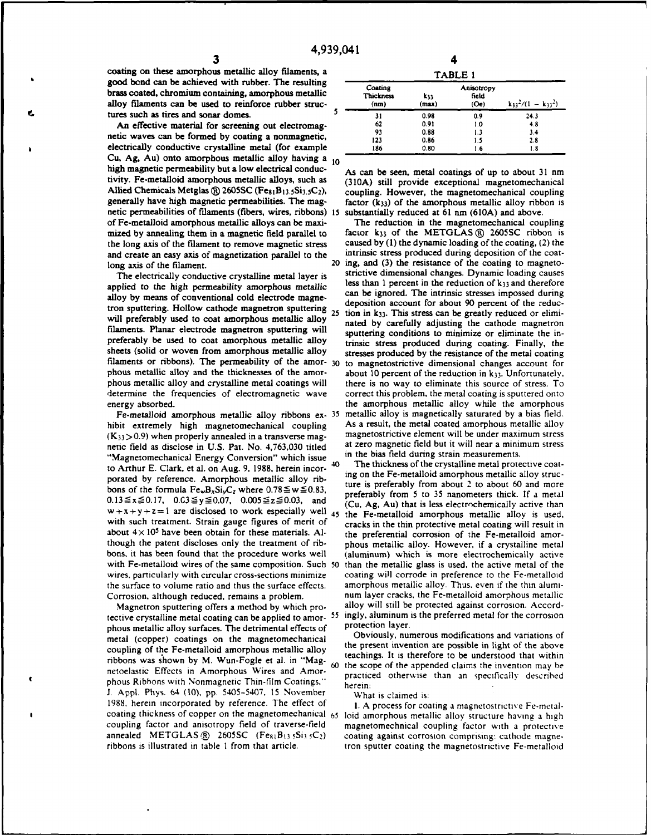coating on these amorphous metallic alloy filaments, a good bond can be achieved with rubber. The resulting brass coated, chromium containing, amorphous metallic **Thickesa k33 fied** brass coated, circumstructured victoriances can be used to reinforce rubber structures such as tires and sonar domes.

An effective material for screening out electromag-**93 0.88 1.3** 3.4 netic waves can be formed **by** coating a nonmagnetic, **123 0.86 1.5 2.8** electrically conductive crystalline metal (for example Cu, Ag, Au) onto amorphous metallic alloy having a **10** high magnetic permeability but a low electrical conduc-  $A_s$  can be seen, metal coatings of up to about 31 nm tivity. Fe-metalloid amorphous metallic alloys, such as (310A) still provide exceptional magnetomechanical Allied Chemicals Metglas  $\circledR$  2605SC (Fe<sub>81</sub>B<sub>13.5</sub>Si<sub>3.5</sub>C<sub>2</sub>), coupling. However, the magnetomechanical coupling generally have high magnetic permeabilities. The magnetomechanical coupling generally have high magnetic netic permeabilities of filaments (fibers, wires, ribbons) 15 of Fe-metalloid amorphous metallic alloys can be maxi- The reduction in the magnetomechanical coupling and create an easy axis of magnetization parallel to the  $\frac{1}{20}$ 

alloy by means of conventional cold electrode magne-<br>transic stresses impossed during<br>transmitted magnetic deposition account for about 90 percent of the reductron sputtering. Hollow cathode magnetron sputtering acposition account for about 90 percent of the reduc-<br>transmittering 25 tion in k33. This stress can be greatly reduced or elimiwill preferably used to coat amorphous metallic alloy  $\frac{25}{\text{t}}$  that k<sub>33</sub>. This sitess can be given by carefully adjusting the cathode magnetron filaments. Planar electrode magnetron sputtering will sputtering conditions to minimize or eliminate the insheets (solid or woven from amorphous metallic alloy stresses produced by the resistance of the metal coating phous metallic alloy and crystalline metal coatings will there is no way to eliminate this source of stress. To energy absorbed. The amorphous metallic alloy while the amorphous metallic alloy while the amorphous

hibit extremely high magnetomechanical coupling As a result, the metal coated amorphous metallic alloy  $(K_{22} > 0.9)$  when properly annealed in a transverse magnetostrictive element will be under maximum stress  $(K_{33} > 0.9)$  when properly annealed in a transverse mag-<br>netic field as disclose in U.S. Pat. No. 4.763.030 titled at zero magnetic field but it will near a minimum stress netic field as disclose in U.S. Pat. No. 4,763,030 titled at zero magnetic field but it will near a minimum stress. Conveniently, which issue in the bias field during strain measurements. metic rient as uncluse in O.S. I at 150.  $\pi_i$ , separative incorrection in the bias field during strain measurements.<br>"Magnetomechanical Energy Conversion" which issue in the bias field during strain measurements.<br>A other to Arthur E. Clark, et al. on Aug. 9, 1988, herein incor- <sup>40</sup> The thickness of the crystalline metal protective coat-<br>negotial by expression the combine metallic allows the contract of the contract of the contract of the porated by reference. Amorphous metallic alloy rib-<br>have a fake formula Eq. B. Si G where  $0.795 \times 10^{23}$  ture is preferably from about 2 to about 60 and more bons of the formula Fe<sub>W</sub>B<sub>x</sub>Si<sub>y</sub>C<sub>z</sub> where  $0.78 \le w \le 0.83$ , preferably from 5 to 35 nanometers thick. If a metal  $0.13 \le x \le 0.17$ ,  $0.03 \le y \le 0.07$ ,  $0.005 \le z \le 0.03$ , and  $(Cu, Ag, Au)$  that is less electrochemically active than  $w + x + y + z = 1$  are disclosed to work especially well  $45$  the Fe-metalloid amorphous metallic alloy is used, with such treatment. Strain gauge figures of merit of cracks in the thin protective metal coating will result in about 4X **105** have been obtain for these materials. **Al-** the preferential corrosion of the Fe-metalloid amorthough the patent discloses only the treatment of rib- phous metallic alloy. However, if a crystalline metal bons, it has been found that the procedure works well (aluminum) which is more electrochemically active with Fe-metalloid wires of the same composition. Such 50 than the metallic glass is used. the active metal of the wires, particularly with circular cross-sections minimize coating will corrode in preference to the Fe-metalloid the surface to volume ratio and thus the surface effects. amorphous metallic alloy. Thus. even if the thin alumi-Corrosion, although reduced, remains a problem. num layer cracks, the Fe-metalloid amorphous metallic

tective crystalline metal coating can be applied to amor-  $55$  ingly, aluminum phous metallic allow surfaces. The detrimental effects of protection layer. phous metallic alloy surfaces. The detrimental effects of metal (copper) coatings on the magnetomechanical Obviously, numerous modifications and variations of coupling of the Fe-metalloid amorphous metallic alloy the present invention are possible in light of the above<br>coupling of the Fe-metalloid amorphous metallic alloy ribbons was shown by M. Wun-Fogle et al. in "Mag-60" the scope of the appended claims the invention may be netoelastic Effects in Amorphous Wires and Amor-<br>practiced otherwise than an specifically described phous Ribbons with Nonmagnetic Thin-film Coatings." herein: **J.** AppI. Phys. 64 (10), pp. 5405-5407. 15 November What is claimed is: **1988,** herein incorporated **by** reference. The effect of **1.** A process for coating a magnetostrictive Fe-metalcoating thickness of copper on the magnetomechanical **65** oid amorphous metallic alloy structure having a high coupling factor and anisotropy field of traverse-field magnetomechnical coupling factor with a protective annealed METGLAS  $\circledR$  2605SC (Fe<sub>81</sub>B<sub>13 5</sub>Si<sub>3</sub> 5C<sub>2</sub>) coating against corrosion comprising: cathode magne-<br>ribbons is illustrated in table 1 from that article. The trom sputter coating the magnetostrictive Fe-metalloi

| IABLE I                             |              |                                          |                               |  |  |
|-------------------------------------|--------------|------------------------------------------|-------------------------------|--|--|
| Costing<br><b>Thickness</b><br>(nm) | k33<br>(max) | Anisotropy<br>field<br>(O <sub>c</sub> ) | $k_{33}^{2}/(1 - k_{33}^{2})$ |  |  |
| 31                                  | 0.98         | 0.9                                      | 24.3                          |  |  |
| 62                                  | 0.91         | 1.0                                      | 4.8                           |  |  |
| 93                                  | 0.88         | 1.3                                      | 3.4                           |  |  |
| 123                                 | 0.86         | 1.5                                      | 28                            |  |  |
| 186                                 | 0.80         | 1.6                                      | 1.8                           |  |  |

factor  $(k_{33})$  of the amorphous metallic alloy ribbon is substantially reduced at 61 nm (610A) and above.

mized by annealing them in a magnetic field parallel to factor **k**<sub>33</sub> of the METGLAS ® 2605SC ribbon is the long axis of the filament to remove magnetic stress caused by (1) the dynamic loading of the coating, (2) the the long axis of the filament to remove magnetic stress caused by (1) the dynamic loading of the coating, (2) the and create an easy axis of magnetization parallel to the intrinsic stress produced during deposition of the long axis of the filament.<br> **20** ing, and **(3)** the resistance of the coating to magneto-<br> **20** ing, and **(3)** the resistance of the coating to magneto-<br> **20** ing, and **(3)** the resistance of the coating to magneto-<br> **20** The electrically conductive crystalline metal layer is strictive dimensional changes. Dynamic loading causes<br>plied to the high permeability amorphous metallic less than 1 percent in the reduction of k33 and therefore applied to the high permeability amorphous metallic less than 1 percent in the reduction of k33 and therefore<br>allow hy means of conventional sold classed a name can be ignored. The intrinsic stresses impossed during preferably be used to coat amorphous metallic alloy trinsic stress produced during coating. Finally, the filaments or ribbons). The permeability of the amor- **30** to magnetostrictive dimensional changes account for phous metallic alloy and the thicknesses of the amor-<br>about 10 percent of the reduction in  $k_{33}$ . Unfortunately, determine the frequencies of electromagnetic wave correct this problem. the metal coating is sputtered onto Fe-metalloid amorphous metallic alloy ribbons ex- **35** metallic alloy is magnetically saturated **by** a bias field.

Magnetron sputtering offers a method by which pro-<br>
stive crystalline metal coating can be annited to amor- 55 ingly, aluminum is the preferred metal for the corrosion

tron sputter coating the magnetostrictive Fe-metalloid

3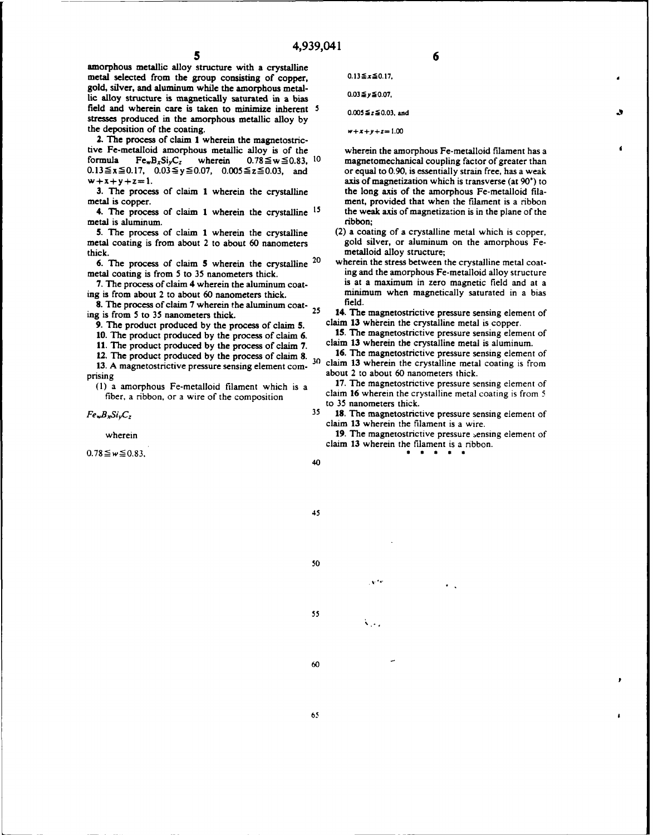amorphous metallic **alloy structure with a** crystalline metal selected from the group consisting of copper,  $0.13 \le x \le 0.17$ , gold, silver, and aluminum while the amorphous metallic alloy structure is magnetically saturated in a bias  $0.03 \leq y \leq 0.07$ . field and wherein care is taken to minimize inherent  $5$  0.005 \lefts  $2.603$ , and stresses produced in the amorphous metallic alloy **by** the deposition of the coating.  $w+x+y+z=1.00$ 

**2.** *The* process of claim **1** wherein the magnetostrictive Fe-metalloid amorphous metallic alloy is of the wherein the amorphous Fe-metalloid filament has a formula  $Fe_wB_xSi_yC_z$  wherein  $0.78 \le w \le 0.83$ ,  $10$  magnetomechanical coupling factor of greater than  $0.13 \le x \le 0.17$ ,  $0.13 \le x \le 0.17$ ,  $0.03 \le y \le 0.07$ ,  $0.005 \le z \le 0.03$ , and  $w+x+y+z=1$ . **axis of magnetization** which is transverse (at  $90^{\circ}$ ) to

4. The process of claim 1 wherein the crystalline <sup>15</sup> metal is aluminum.

**5.** The process of claim 1 wherein the crystalline (2) a coating of a crystalline metal which is copper, etal coating is from about 2 to about 60 nanometers gold silver, or aluminum on the amorphous Femetal coating is from about 2 to about 60 nanometers thick. The contract of the contract of the metalloid alloy structure;

ing is from about 2 to about **60** nanometers thick, minimum when magnetically saturated in a bias

**8.** The process of claim 7 wherein the aluminum coat-  $\frac{1}{25}$  **14**. The ing is from 5 to **35** nanometers thick. **25 14.** The magnetostrictive pressure sensing element of

**9.** The product produced **by** the process of claim **5.** claim **13** wherein the crystalline metal is copper.

prising about 2 to about **60** nanometers thick.

 $0.78 \le \omega \le 0.83$ ,  $\bullet$  **•** 

**3.** The process of claim **1** wherein the crystalline the long axis of the amorphous Fe-metalloid filametal is copper.<br> **A.** The process of claim 1 wherein the crystalline  $15$  the weak axis of magnetization is in the plane of the

- 
- **6.** The process of claim **5** wherein the crystalline 20 wherein the stress between the crystalline metal coatmetal coating is from 5 to 35 nanometers thick. ing and the amorphous Fe-metalloid alloy structure **7.** The process of claim 4 wherein the aluminum coat- is at a maximum in zero magnetic field and at a

**10.** The product produced **by** the process of claim **6. 15.** The magnetostrictive pressure sensing element of **11. The** product produced **by** the process of claim **7.** claim **13** wherein the crystalline metal is aluminum.

12. The product produced by the process of claim 8. 16. The magnetostrictive pressure sensing element of 13. A magnetostrictive pressure sensing element com- <sup>30</sup> claim 13 wherein the crystalline metal coating is from

**(1)** a amorphous Fe-metalloid filament which is a **17.** The magnetostrictive pressure sensing element of fiber, a ribbon, or a wire of the composition claim 16 wherein the crystalline metal coating is from 5 to **35** nanometers thick.

*Fe<sub>w</sub>B<sub>x</sub>Si<sub>v</sub>C<sub>z</sub>* **35 18.** The magnetostrictive pressure sensing element of claim **13** wherein the filament is a wire.

**19. The magnetostrictive pressure sensing element of 19. The magnetostrictive pressure sensing element of** claim **13** wherein the filament is a ribbon.

 $\bullet$ 

40

45

**50**

**55**

 $\ddotsc$ 

60

**65 8**